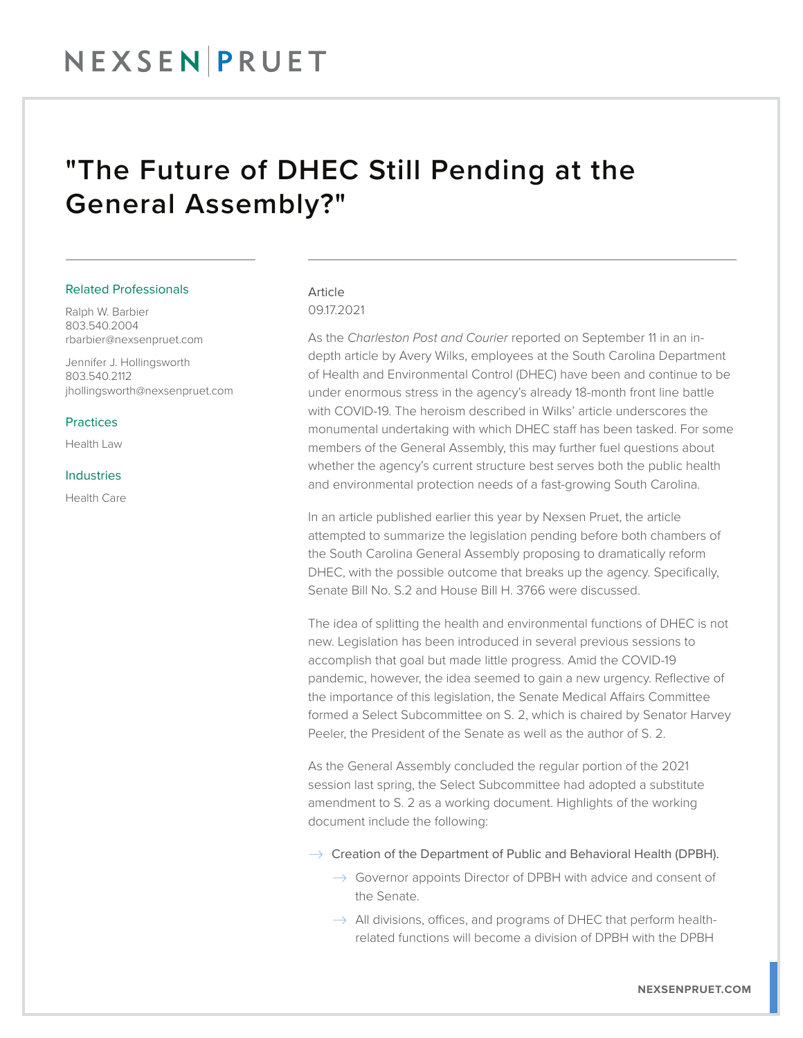# "The Future of DHEC Still Pending at the General Assembly?"

#### Related Professionals

Ralph W. Barbier 803.540.2004 rbarbier@nexsenpruet.com

Jennifer J. Hollingsworth 803.540.2112 jhollingsworth@nexsenpruet.com

#### **Practices**

Health Law

#### Industries

Health Care

# Article 09.17.2021

As the *Charleston Post and Courier* reported on September 11 in an indepth article by Avery Wilks, employees at the South Carolina Department of Health and Environmental Control (DHEC) have been and continue to be under enormous stress in the agency's already 18-month front line battle with COVID-19. The heroism described in Wilks' article underscores the monumental undertaking with which DHEC staff has been tasked. For some members of the General Assembly, this may further fuel questions about whether the agency's current structure best serves both the public health and environmental protection needs of a fast-growing South Carolina.

In an article published earlier this year by Nexsen Pruet, the article attempted to summarize the legislation pending before both chambers of the South Carolina General Assembly proposing to dramatically reform DHEC, with the possible outcome that breaks up the agency. Specifically, Senate Bill No. S.2 and House Bill H. 3766 were discussed.

The idea of splitting the health and environmental functions of DHEC is not new. Legislation has been introduced in several previous sessions to accomplish that goal but made little progress. Amid the COVID-19 pandemic, however, the idea seemed to gain a new urgency. Reflective of the importance of this legislation, the Senate Medical Affairs Committee formed a Select Subcommittee on S. 2, which is chaired by Senator Harvey Peeler, the President of the Senate as well as the author of S. 2.

As the General Assembly concluded the regular portion of the 2021 session last spring, the Select Subcommittee had adopted a substitute amendment to S. 2 as a working document. Highlights of the working document include the following:

- $\rightarrow$  Creation of the Department of Public and Behavioral Health (DPBH).
	- $\rightarrow$  Governor appoints Director of DPBH with advice and consent of the Senate.
	- $\rightarrow$  All divisions, offices, and programs of DHEC that perform healthrelated functions will become a division of DPBH with the DPBH